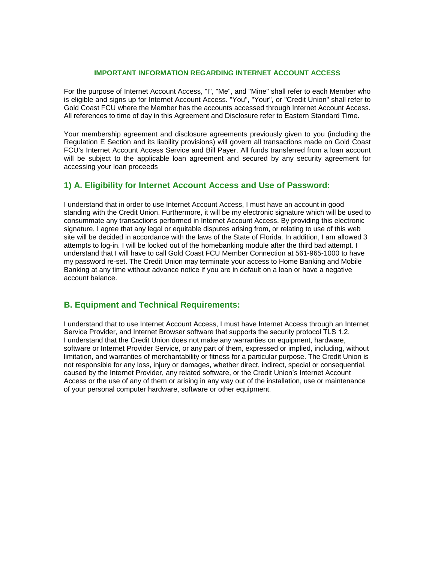#### **IMPORTANT INFORMATION REGARDING INTERNET ACCOUNT ACCESS**

For the purpose of Internet Account Access, "I", "Me", and "Mine" shall refer to each Member who is eligible and signs up for Internet Account Access. "You", "Your", or "Credit Union" shall refer to Gold Coast FCU where the Member has the accounts accessed through Internet Account Access. All references to time of day in this Agreement and Disclosure refer to Eastern Standard Time.

Your membership agreement and disclosure agreements previously given to you (including the Regulation E Section and its liability provisions) will govern all transactions made on Gold Coast FCU's Internet Account Access Service and Bill Payer. All funds transferred from a loan account will be subject to the applicable loan agreement and secured by any security agreement for accessing your loan proceeds

### **1) A. Eligibility for Internet Account Access and Use of Password:**

I understand that in order to use Internet Account Access, I must have an account in good standing with the Credit Union. Furthermore, it will be my electronic signature which will be used to consummate any transactions performed in Internet Account Access. By providing this electronic signature, I agree that any legal or equitable disputes arising from, or relating to use of this web site will be decided in accordance with the laws of the State of Florida. In addition, I am allowed 3 attempts to log-in. I will be locked out of the homebanking module after the third bad attempt. I understand that I will have to call Gold Coast FCU Member Connection at 561-965-1000 to have my password re-set. The Credit Union may terminate your access to Home Banking and Mobile Banking at any time without advance notice if you are in default on a loan or have a negative account balance.

### **B. Equipment and Technical Requirements:**

I understand that to use Internet Account Access, I must have Internet Access through an Internet Service Provider, and Internet Browser software that supports the security protocol TLS 1.2. I understand that the Credit Union does not make any warranties on equipment, hardware, software or Internet Provider Service, or any part of them, expressed or implied, including, without limitation, and warranties of merchantability or fitness for a particular purpose. The Credit Union is not responsible for any loss, injury or damages, whether direct, indirect, special or consequential, caused by the Internet Provider, any related software, or the Credit Union's Internet Account Access or the use of any of them or arising in any way out of the installation, use or maintenance of your personal computer hardware, software or other equipment.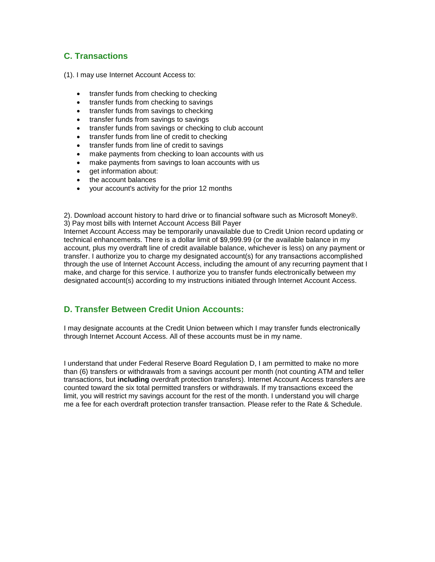# **C. Transactions**

(1). I may use Internet Account Access to:

- transfer funds from checking to checking
- transfer funds from checking to savings
- transfer funds from savings to checking
- transfer funds from savings to savings
- transfer funds from savings or checking to club account
- transfer funds from line of credit to checking
- transfer funds from line of credit to savings
- make payments from checking to loan accounts with us
- make payments from savings to loan accounts with us
- get information about:
- the account balances
- your account's activity for the prior 12 months

2). Download account history to hard drive or to financial software such as Microsoft Money®. 3) Pay most bills with Internet Account Access Bill Payer

Internet Account Access may be temporarily unavailable due to Credit Union record updating or technical enhancements. There is a dollar limit of \$9,999.99 (or the available balance in my account, plus my overdraft line of credit available balance, whichever is less) on any payment or transfer. I authorize you to charge my designated account(s) for any transactions accomplished through the use of Internet Account Access, including the amount of any recurring payment that I make, and charge for this service. I authorize you to transfer funds electronically between my designated account(s) according to my instructions initiated through Internet Account Access.

## **D. Transfer Between Credit Union Accounts:**

I may designate accounts at the Credit Union between which I may transfer funds electronically through Internet Account Access. All of these accounts must be in my name.

I understand that under Federal Reserve Board Regulation D, I am permitted to make no more than (6) transfers or withdrawals from a savings account per month (not counting ATM and teller transactions, but **including** overdraft protection transfers). Internet Account Access transfers are counted toward the six total permitted transfers or withdrawals. If my transactions exceed the limit, you will restrict my savings account for the rest of the month. I understand you will charge me a fee for each overdraft protection transfer transaction. Please refer to the Rate & Schedule.